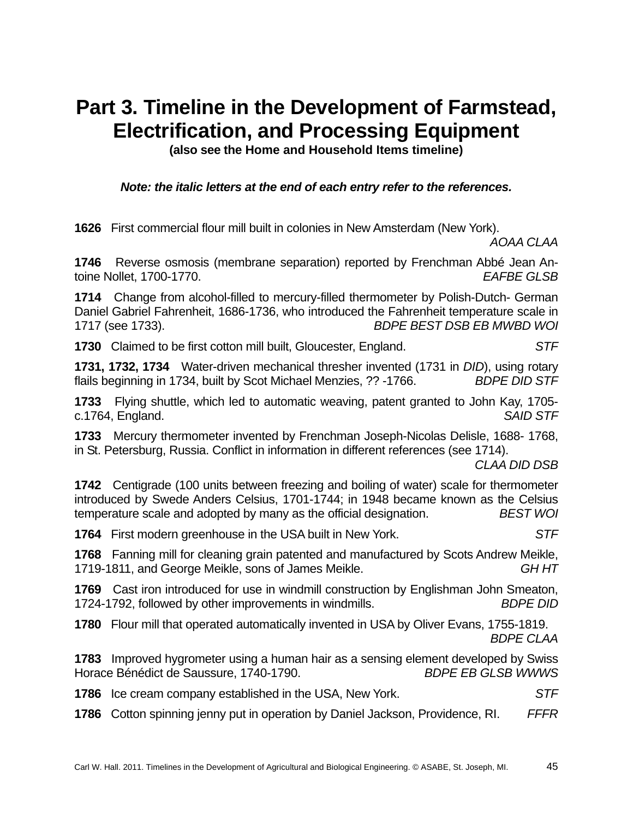## **Part 3. Timeline in the Development of Farmstead, Electrification, and Processing Equipment**

**(also see the Home and Household Items timeline)** 

*Note: the italic letters at the end of each entry refer to the references.* 

**1626** First commercial flour mill built in colonies in New Amsterdam (New York).

*AOAA CLAA*

**1746** Reverse osmosis (membrane separation) reported by Frenchman Abbé Jean Antoine Nollet, 1700-1770. *EAFBE GLSB*

**1714** Change from alcohol-filled to mercury-filled thermometer by Polish-Dutch- German Daniel Gabriel Fahrenheit, 1686-1736, who introduced the Fahrenheit temperature scale in 1717 (see 1733). *BDPE BEST DSB EB MWBD WOI*

**1730** Claimed to be first cotton mill built, Gloucester, England. *STF*

**1731, 1732, 1734** Water-driven mechanical thresher invented (1731 in *DID*), using rotary flails beginning in 1734, built by Scot Michael Menzies, ?? -1766. *BDPE DID STF*

**1733** Flying shuttle, which led to automatic weaving, patent granted to John Kay, 1705 c.1764, England. *SAID STF* 

**1733** Mercury thermometer invented by Frenchman Joseph-Nicolas Delisle, 1688- 1768, in St. Petersburg, Russia. Conflict in information in different references (see 1714).

*CLAA DID DSB*

**1742** Centigrade (100 units between freezing and boiling of water) scale for thermometer introduced by Swede Anders Celsius, 1701-1744; in 1948 became known as the Celsius temperature scale and adopted by many as the official designation. *BEST WOI*

**1764** First modern greenhouse in the USA built in New York. *STF*

**1768** Fanning mill for cleaning grain patented and manufactured by Scots Andrew Meikle, 1719-1811, and George Meikle, sons of James Meikle. *GH HT*

**1769** Cast iron introduced for use in windmill construction by Englishman John Smeaton, 1724-1792, followed by other improvements in windmills. *BDPE DID*

**1780** Flour mill that operated automatically invented in USA by Oliver Evans, 1755-1819. *BDPE CLAA*

**1783** Improved hygrometer using a human hair as a sensing element developed by Swiss Horace Bénédict de Saussure, 1740-1790. *BDPE EB GLSB WWWS*

**1786** Ice cream company established in the USA, New York. *STF*

**1786** Cotton spinning jenny put in operation by Daniel Jackson, Providence, RI. *FFFR*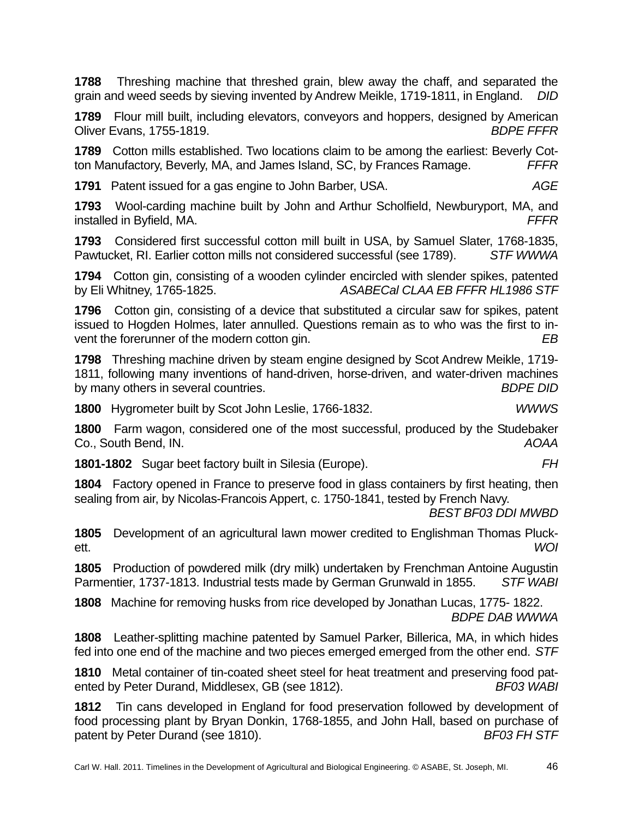**1788** Threshing machine that threshed grain, blew away the chaff, and separated the grain and weed seeds by sieving invented by Andrew Meikle, 1719-1811, in England. *DID*

**1789** Flour mill built, including elevators, conveyors and hoppers, designed by American Oliver Evans, 1755-1819. *BDPE FFFR*

**1789** Cotton mills established. Two locations claim to be among the earliest: Beverly Cotton Manufactory, Beverly, MA, and James Island, SC, by Frances Ramage. *FFFR*

**1791** Patent issued for a gas engine to John Barber, USA. *AGE*

**1793** Wool-carding machine built by John and Arthur Scholfield, Newburyport, MA, and installed in Byfield, MA. *FFFR*

**1793** Considered first successful cotton mill built in USA, by Samuel Slater, 1768-1835, Pawtucket, RI. Earlier cotton mills not considered successful (see 1789). *STF WWWA*

**1794** Cotton gin, consisting of a wooden cylinder encircled with slender spikes, patented by Eli Whitney, 1765-1825. *ASABECal CLAA EB FFFR HL1986 STF*

**1796** Cotton gin, consisting of a device that substituted a circular saw for spikes, patent issued to Hogden Holmes, later annulled. Questions remain as to who was the first to invent the forerunner of the modern cotton gin. *EB*

**1798** Threshing machine driven by steam engine designed by Scot Andrew Meikle, 1719- 1811, following many inventions of hand-driven, horse-driven, and water-driven machines by many others in several countries. *BDPE DID*

**1800** Hygrometer built by Scot John Leslie, 1766-1832. *WWWS*

**1800** Farm wagon, considered one of the most successful, produced by the Studebaker Co., South Bend, IN. *AOAA*

**1801-1802** Sugar beet factory built in Silesia (Europe). *FH*

**1804** Factory opened in France to preserve food in glass containers by first heating, then sealing from air, by Nicolas-Francois Appert, c. 1750-1841, tested by French Navy.

*BEST BF03 DDI MWBD*

**1805** Development of an agricultural lawn mower credited to Englishman Thomas Pluckett. *WOI*

**1805** Production of powdered milk (dry milk) undertaken by Frenchman Antoine Augustin Parmentier, 1737-1813. Industrial tests made by German Grunwald in 1855. *STF WABI*

**1808** Machine for removing husks from rice developed by Jonathan Lucas, 1775- 1822. *BDPE DAB WWWA*

**1808** Leather-splitting machine patented by Samuel Parker, Billerica, MA, in which hides fed into one end of the machine and two pieces emerged emerged from the other end. *STF*

**1810** Metal container of tin-coated sheet steel for heat treatment and preserving food patented by Peter Durand, Middlesex, GB (see 1812). *BF03 WABI*

**1812** Tin cans developed in England for food preservation followed by development of food processing plant by Bryan Donkin, 1768-1855, and John Hall, based on purchase of patent by Peter Durand (see 1810). **BED BED BF03 FH STF**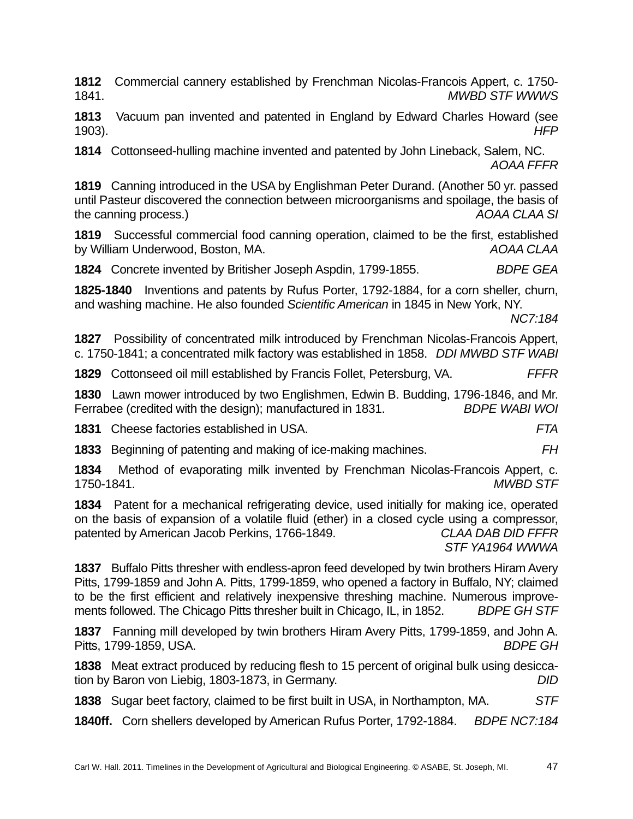**1812** Commercial cannery established by Frenchman Nicolas-Francois Appert, c. 1750- 1841. *MWBD STF WWWS*

**1813** Vacuum pan invented and patented in England by Edward Charles Howard (see 1903). *HFP*

**1814** Cottonseed-hulling machine invented and patented by John Lineback, Salem, NC. *AOAA FFFR*

**1819** Canning introduced in the USA by Englishman Peter Durand. (Another 50 yr. passed until Pasteur discovered the connection between microorganisms and spoilage, the basis of the canning process.) *AOAA CLAA SI* 

**1819** Successful commercial food canning operation, claimed to be the first, established by William Underwood, Boston, MA. *AOAA CLAA* 

**1824** Concrete invented by Britisher Joseph Aspdin, 1799-1855. *BDPE GEA* 

**1825-1840** Inventions and patents by Rufus Porter, 1792-1884, for a corn sheller, churn, and washing machine. He also founded *Scientific American* in 1845 in New York, NY.

*NC7:184* 

**1827** Possibility of concentrated milk introduced by Frenchman Nicolas-Francois Appert, c. 1750-1841; a concentrated milk factory was established in 1858. *DDI MWBD STF WABI*

**1829** Cottonseed oil mill established by Francis Follet, Petersburg, VA. *FFFR* 

**1830** Lawn mower introduced by two Englishmen, Edwin B. Budding, 1796-1846, and Mr. Ferrabee (credited with the design); manufactured in 1831. *BDPE WABI WOI*

**1831** Cheese factories established in USA. *FTA*

**1833** Beginning of patenting and making of ice-making machines. *FH*

**1834** Method of evaporating milk invented by Frenchman Nicolas-Francois Appert, c. 1750-1841. *MWBD STF* 

**1834** Patent for a mechanical refrigerating device, used initially for making ice, operated on the basis of expansion of a volatile fluid (ether) in a closed cycle using a compressor, patented by American Jacob Perkins, 1766-1849. *CLAA DAB DID FFFR STF YA1964 WWWA* 

**1837** Buffalo Pitts thresher with endless-apron feed developed by twin brothers Hiram Avery Pitts, 1799-1859 and John A. Pitts, 1799-1859, who opened a factory in Buffalo, NY; claimed to be the first efficient and relatively inexpensive threshing machine. Numerous improvements followed. The Chicago Pitts thresher built in Chicago, IL, in 1852. *BDPE GH STF* 

**1837** Fanning mill developed by twin brothers Hiram Avery Pitts, 1799-1859, and John A. Pitts, 1799-1859, USA. *BDPE GH*

**1838** Meat extract produced by reducing flesh to 15 percent of original bulk using desiccation by Baron von Liebig, 1803-1873, in Germany. *DID*

**1838** Sugar beet factory, claimed to be first built in USA, in Northampton, MA. *STF* 

**1840ff.** Corn shellers developed by American Rufus Porter, 1792-1884. *BDPE NC7:184*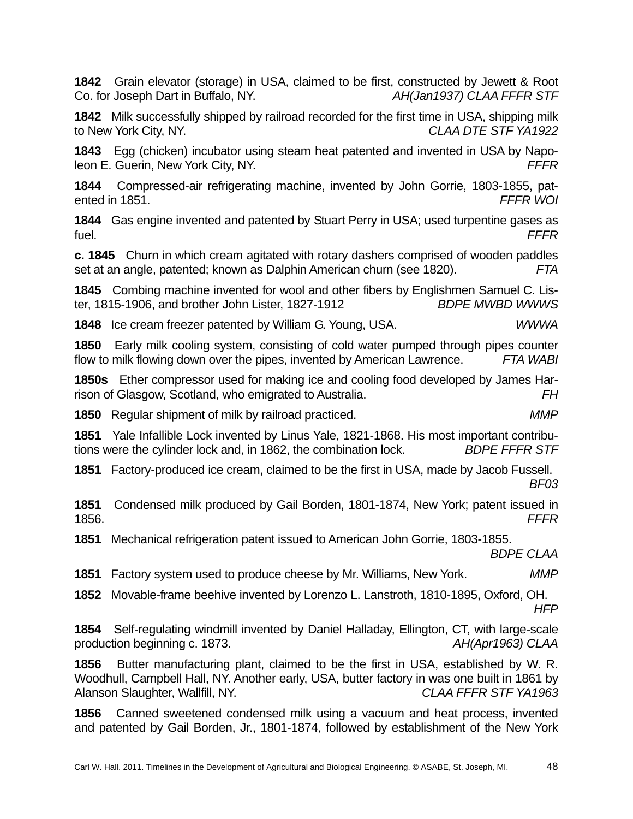**1842** Grain elevator (storage) in USA, claimed to be first, constructed by Jewett & Root Co. for Joseph Dart in Buffalo, NY. *AH(Jan1937) CLAA FFFR STF*

**1842** Milk successfully shipped by railroad recorded for the first time in USA, shipping milk to New York City, NY. *CLAA DTE STF YA1922* 

**1843** Egg (chicken) incubator using steam heat patented and invented in USA by Napoleon E. Guerin, New York City, NY. *FFFR* 

**1844** Compressed-air refrigerating machine, invented by John Gorrie, 1803-1855, patented in 1851. *FFFR WOI* 

**1844** Gas engine invented and patented by Stuart Perry in USA; used turpentine gases as fuel. *FFFR* 

**c. 1845** Churn in which cream agitated with rotary dashers comprised of wooden paddles set at an angle, patented; known as Dalphin American churn (see 1820). *FTA* 

**1845** Combing machine invented for wool and other fibers by Englishmen Samuel C. Lister, 1815-1906, and brother John Lister, 1827-1912 *BDPE MWBD WWWS* 

**1848** Ice cream freezer patented by William G. Young, USA. *WWWA* 

**1850** Early milk cooling system, consisting of cold water pumped through pipes counter flow to milk flowing down over the pipes, invented by American Lawrence. *FTA WABI* 

**1850s** Ether compressor used for making ice and cooling food developed by James Harrison of Glasgow, Scotland, who emigrated to Australia. *FH* 

**1850** Regular shipment of milk by railroad practiced. *MMP* 

**1851** Yale Infallible Lock invented by Linus Yale, 1821-1868. His most important contributions were the cylinder lock and, in 1862, the combination lock. *BDPE FFFR STF* 

**1851** Factory-produced ice cream, claimed to be the first in USA, made by Jacob Fussell. *BF03* 

**1851** Condensed milk produced by Gail Borden, 1801-1874, New York; patent issued in 1856. *FFFR* 

**1851** Mechanical refrigeration patent issued to American John Gorrie, 1803-1855.

*BDPE CLAA* 

**1851** Factory system used to produce cheese by Mr. Williams, New York. *MMP* 

**1852** Movable-frame beehive invented by Lorenzo L. Lanstroth, 1810-1895, Oxford, OH. *HFP* 

**1854** Self-regulating windmill invented by Daniel Halladay, Ellington, CT, with large-scale production beginning c. 1873. *AH(Apr1963) CLAA* 

**1856** Butter manufacturing plant, claimed to be the first in USA, established by W. R. Woodhull, Campbell Hall, NY. Another early, USA, butter factory in was one built in 1861 by Alanson Slaughter, Wallfill, NY. *CLAA FFFR STF YA1963* 

**1856** Canned sweetened condensed milk using a vacuum and heat process, invented and patented by Gail Borden, Jr., 1801-1874, followed by establishment of the New York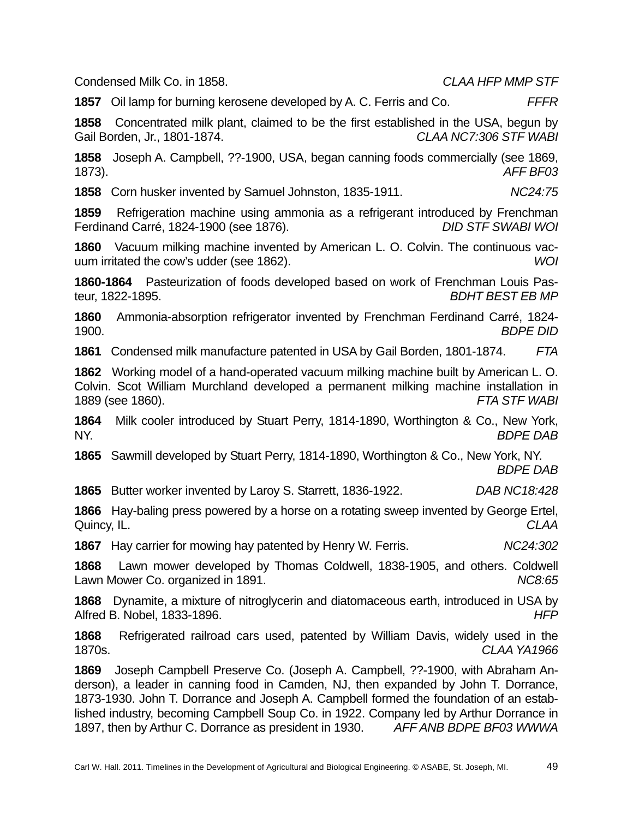Condensed Milk Co. in 1858. *CLAA HFP MMP STF* 

**1857** Oil lamp for burning kerosene developed by A. C. Ferris and Co. *FFFR* 

**1858** Concentrated milk plant, claimed to be the first established in the USA, begun by Gail Borden, Jr., 1801-1874. *CLAA NC7:306 STF WABI* 

**1858** Joseph A. Campbell, ??-1900, USA, began canning foods commercially (see 1869, 1873). *AFF BF03* 

**1858** Corn husker invented by Samuel Johnston, 1835-1911. *NC24:75* 

**1859** Refrigeration machine using ammonia as a refrigerant introduced by Frenchman Ferdinand Carré, 1824-1900 (see 1876). *DID STF SWABI WOI* 

**1860** Vacuum milking machine invented by American L. O. Colvin. The continuous vacuum irritated the cow's udder (see 1862). *WOI* 

**1860-1864** Pasteurization of foods developed based on work of Frenchman Louis Pasteur, 1822-1895. *BDHT BEST EB MP* 

**1860** Ammonia-absorption refrigerator invented by Frenchman Ferdinand Carré, 1824- 1900. *BDPE DID* 

**1861** Condensed milk manufacture patented in USA by Gail Borden, 1801-1874. *FTA* 

**1862** Working model of a hand-operated vacuum milking machine built by American L. O. Colvin. Scot William Murchland developed a permanent milking machine installation in 1889 (see 1860). *FTA STF WABI* 

**1864** Milk cooler introduced by Stuart Perry, 1814-1890, Worthington & Co., New York, NY. *BDPE DAB* 

**1865** Sawmill developed by Stuart Perry, 1814-1890, Worthington & Co., New York, NY. *BDPE DAB* 

**1865** Butter worker invented by Laroy S. Starrett, 1836-1922. *DAB NC18:428*

**1866** Hay-baling press powered by a horse on a rotating sweep invented by George Ertel, Quincy, IL. *CLAA* 

**1867** Hay carrier for mowing hay patented by Henry W. Ferris. *NC24:302* 

**1868** Lawn mower developed by Thomas Coldwell, 1838-1905, and others. Coldwell Lawn Mower Co. organized in 1891. *NC8:65* 

**1868** Dynamite, a mixture of nitroglycerin and diatomaceous earth, introduced in USA by Alfred B. Nobel, 1833-1896. *HFP* 

**1868** Refrigerated railroad cars used, patented by William Davis, widely used in the 1870s. *CLAA YA1966* 

**1869** Joseph Campbell Preserve Co. (Joseph A. Campbell, ??-1900, with Abraham Anderson), a leader in canning food in Camden, NJ, then expanded by John T. Dorrance, 1873-1930. John T. Dorrance and Joseph A. Campbell formed the foundation of an established industry, becoming Campbell Soup Co. in 1922. Company led by Arthur Dorrance in 1897, then by Arthur C. Dorrance as president in 1930. *AFF ANB BDPE BF03 WWWA*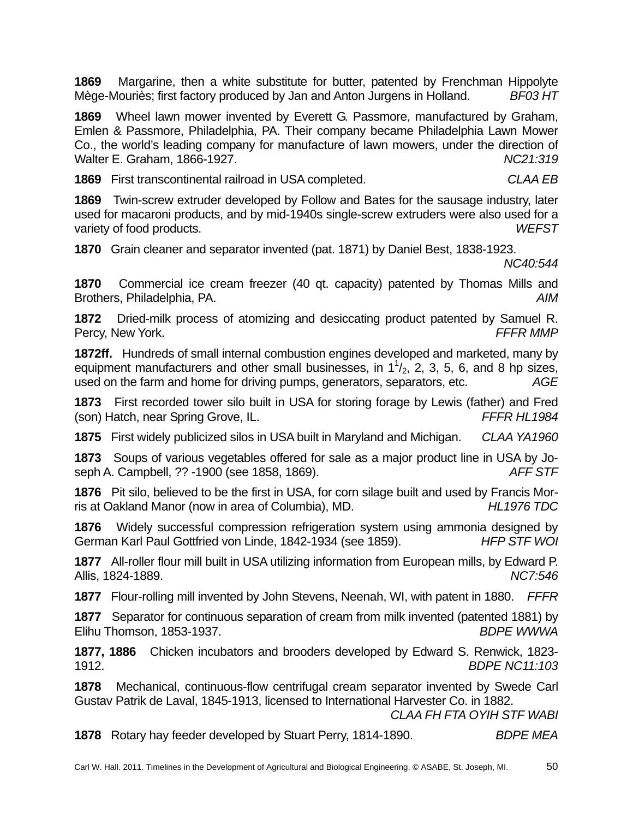**1869** Margarine, then a white substitute for butter, patented by Frenchman Hippolyte Mège-Mouriès; first factory produced by Jan and Anton Jurgens in Holland. *BF03 HT* 

**1869** Wheel lawn mower invented by Everett G. Passmore, manufactured by Graham, Emlen & Passmore, Philadelphia, PA. Their company became Philadelphia Lawn Mower Co., the world's leading company for manufacture of lawn mowers, under the direction of Walter E. Graham, 1866-1927. *NC21:319* 

**1869** First transcontinental railroad in USA completed. *CLAA EB* 

**1869** Twin-screw extruder developed by Follow and Bates for the sausage industry, later used for macaroni products, and by mid-1940s single-screw extruders were also used for a variety of food products. *WEFST* 

**1870** Grain cleaner and separator invented (pat. 1871) by Daniel Best, 1838-1923.

*NC40:544* 

**1870** Commercial ice cream freezer (40 qt. capacity) patented by Thomas Mills and Brothers, Philadelphia, PA. *AIM* 

**1872** Dried-milk process of atomizing and desiccating product patented by Samuel R. Percy, New York. *FFFR MMP*

**1872ff.** Hundreds of small internal combustion engines developed and marketed, many by equipment manufacturers and other small businesses, in  $1<sup>1</sup>/<sub>2</sub>$ , 2, 3, 5, 6, and 8 hp sizes, used on the farm and home for driving pumps, generators, separators, etc. *AGE* 

**1873** First recorded tower silo built in USA for storing forage by Lewis (father) and Fred (son) Hatch, near Spring Grove, IL. *FFFR HL1984* 

**1875** First widely publicized silos in USA built in Maryland and Michigan. *CLAA YA1960*

**1873** Soups of various vegetables offered for sale as a major product line in USA by Joseph A. Campbell, ?? -1900 (see 1858, 1869). *AFF STF* 

**1876** Pit silo, believed to be the first in USA, for corn silage built and used by Francis Morris at Oakland Manor (now in area of Columbia), MD. *HL1976 TDC* 

**1876** Widely successful compression refrigeration system using ammonia designed by German Karl Paul Gottfried von Linde, 1842-1934 (see 1859). *HFP STF WOI* 

**1877** All-roller flour mill built in USA utilizing information from European mills, by Edward P. Allis, 1824-1889. *NC7:546* 

**1877** Flour-rolling mill invented by John Stevens, Neenah, WI, with patent in 1880. *FFFR* 

**1877** Separator for continuous separation of cream from milk invented (patented 1881) by Elihu Thomson, 1853-1937. *BDPE WWWA* 

**1877, 1886** Chicken incubators and brooders developed by Edward S. Renwick, 1823- 1912. *BDPE NC11:103* 

**1878** Mechanical, continuous-flow centrifugal cream separator invented by Swede Carl Gustav Patrik de Laval, 1845-1913, licensed to International Harvester Co. in 1882.

*CLAA FH FTA OYIH STF WABI* 

**1878** Rotary hay feeder developed by Stuart Perry, 1814-1890. *BDPE MEA*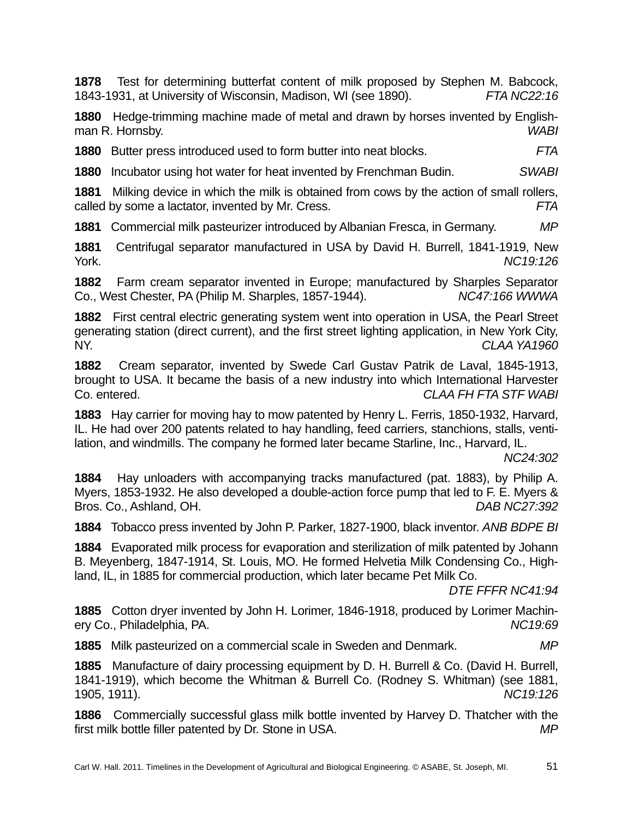**1878** Test for determining butterfat content of milk proposed by Stephen M. Babcock, 1843-1931, at University of Wisconsin, Madison, WI (see 1890). *FTA NC22:16* 

**1880** Hedge-trimming machine made of metal and drawn by horses invented by Englishman R. Hornsby. *WABI* 

**1880** Butter press introduced used to form butter into neat blocks. *FTA* 

**1880** Incubator using hot water for heat invented by Frenchman Budin. *SWABI* 

**1881** Milking device in which the milk is obtained from cows by the action of small rollers, called by some a lactator, invented by Mr. Cress. *FTA* 

**1881** Commercial milk pasteurizer introduced by Albanian Fresca, in Germany. *MP* 

**1881** Centrifugal separator manufactured in USA by David H. Burrell, 1841-1919, New York. *NC19:126* 

**1882** Farm cream separator invented in Europe; manufactured by Sharples Separator Co., West Chester, PA (Philip M. Sharples, 1857-1944). *NC47:166 WWWA* 

**1882** First central electric generating system went into operation in USA, the Pearl Street generating station (direct current), and the first street lighting application, in New York City, NY. *CLAA YA1960* 

**1882** Cream separator, invented by Swede Carl Gustav Patrik de Laval, 1845-1913, brought to USA. It became the basis of a new industry into which International Harvester Co. entered. *CLAA FH FTA STF WABI* 

**1883** Hay carrier for moving hay to mow patented by Henry L. Ferris, 1850-1932, Harvard, IL. He had over 200 patents related to hay handling, feed carriers, stanchions, stalls, ventilation, and windmills. The company he formed later became Starline, Inc., Harvard, IL.

*NC24:302* 

**1884** Hay unloaders with accompanying tracks manufactured (pat. 1883), by Philip A. Myers, 1853-1932. He also developed a double-action force pump that led to F. E. Myers & Bros. Co., Ashland, OH. *DAB NC27:392* 

**1884** Tobacco press invented by John P. Parker, 1827-1900, black inventor. *ANB BDPE BI* 

**1884** Evaporated milk process for evaporation and sterilization of milk patented by Johann B. Meyenberg, 1847-1914, St. Louis, MO. He formed Helvetia Milk Condensing Co., Highland, IL, in 1885 for commercial production, which later became Pet Milk Co.

*DTE FFFR NC41:94* 

**1885** Cotton dryer invented by John H. Lorimer, 1846-1918, produced by Lorimer Machinery Co., Philadelphia, PA. *NC19:69* 

**1885** Milk pasteurized on a commercial scale in Sweden and Denmark. *MP* 

**1885** Manufacture of dairy processing equipment by D. H. Burrell & Co. (David H. Burrell, 1841-1919), which become the Whitman & Burrell Co. (Rodney S. Whitman) (see 1881, 1905, 1911). *NC19:126* 

**1886** Commercially successful glass milk bottle invented by Harvey D. Thatcher with the first milk bottle filler patented by Dr. Stone in USA. *MP*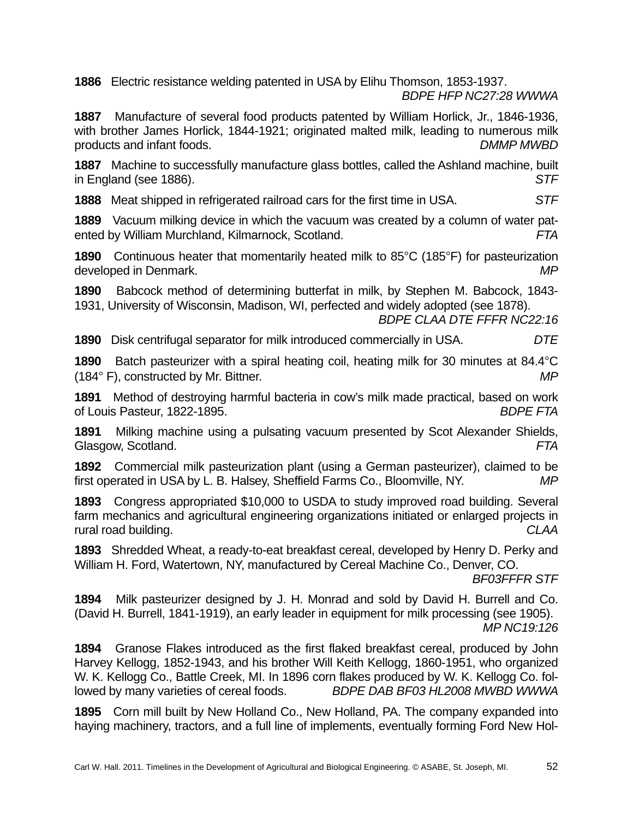**1886** Electric resistance welding patented in USA by Elihu Thomson, 1853-1937. *BDPE HFP NC27:28 WWWA* 

**1887** Manufacture of several food products patented by William Horlick, Jr., 1846-1936, with brother James Horlick, 1844-1921; originated malted milk, leading to numerous milk products and infant foods. *DMMP MWBD* 

**1887** Machine to successfully manufacture glass bottles, called the Ashland machine, built in England (see 1886). *STF* 

**1888** Meat shipped in refrigerated railroad cars for the first time in USA. *STF* 

**1889** Vacuum milking device in which the vacuum was created by a column of water patented by William Murchland, Kilmarnock, Scotland. *FTA* 

**1890** Continuous heater that momentarily heated milk to 85°C (185°F) for pasteurization developed in Denmark. *MP* 

**1890** Babcock method of determining butterfat in milk, by Stephen M. Babcock, 1843- 1931, University of Wisconsin, Madison, WI, perfected and widely adopted (see 1878).

*BDPE CLAA DTE FFFR NC22:16* 

**1890** Disk centrifugal separator for milk introduced commercially in USA. *DTE*

**1890** Batch pasteurizer with a spiral heating coil, heating milk for 30 minutes at 84.4°C (184° F), constructed by Mr. Bittner. *MP* 

**1891** Method of destroying harmful bacteria in cow's milk made practical, based on work of Louis Pasteur, 1822-1895. *BDPE FTA* 

**1891** Milking machine using a pulsating vacuum presented by Scot Alexander Shields, Glasgow, Scotland. *FTA* 

**1892** Commercial milk pasteurization plant (using a German pasteurizer), claimed to be first operated in USA by L. B. Halsey, Sheffield Farms Co., Bloomville, NY. *MP* 

**1893** Congress appropriated \$10,000 to USDA to study improved road building. Several farm mechanics and agricultural engineering organizations initiated or enlarged projects in rural road building. *CLAA* 

**1893** Shredded Wheat, a ready-to-eat breakfast cereal, developed by Henry D. Perky and William H. Ford, Watertown, NY, manufactured by Cereal Machine Co., Denver, CO.

*BF03FFFR STF* 

**1894** Milk pasteurizer designed by J. H. Monrad and sold by David H. Burrell and Co. (David H. Burrell, 1841-1919), an early leader in equipment for milk processing (see 1905). *MP NC19:126*

**1894** Granose Flakes introduced as the first flaked breakfast cereal, produced by John Harvey Kellogg, 1852-1943, and his brother Will Keith Kellogg, 1860-1951, who organized W. K. Kellogg Co., Battle Creek, MI. In 1896 corn flakes produced by W. K. Kellogg Co. followed by many varieties of cereal foods. *BDPE DAB BF03 HL2008 MWBD WWWA*

**1895** Corn mill built by New Holland Co., New Holland, PA. The company expanded into haying machinery, tractors, and a full line of implements, eventually forming Ford New Hol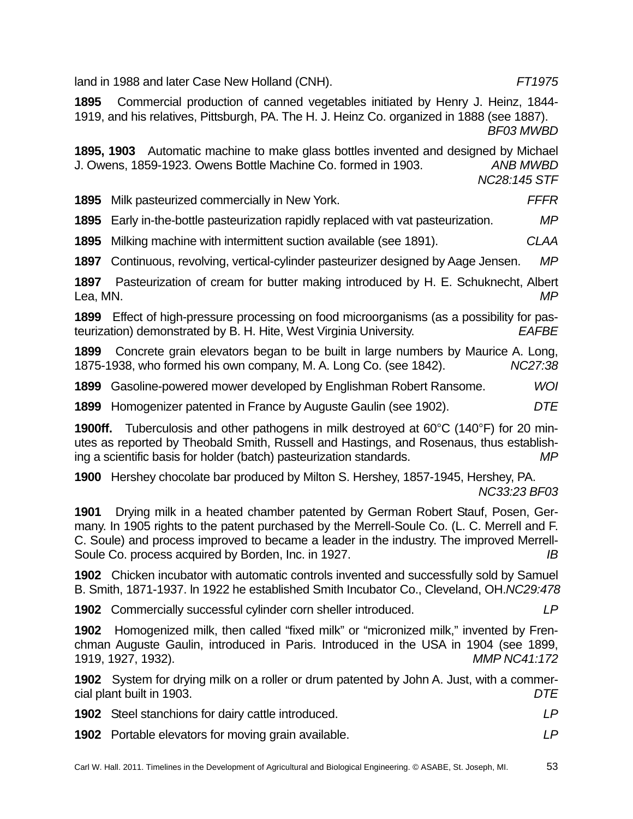land in 1988 and later Case New Holland (CNH). *FT1975* 

**1900ff.** Tuberculosis and other pathogens in milk destroyed at 60°C (140°F) for 20 min-

utes as reported by Theobald Smith, Russell and Hastings, and Rosenaus, thus establishing a scientific basis for holder (batch) pasteurization standards. *MP*

**1895** Commercial production of canned vegetables initiated by Henry J. Heinz, 1844- 1919, and his relatives, Pittsburgh, PA. The H. J. Heinz Co. organized in 1888 (see 1887).

J. Owens, 1859-1923. Owens Bottle Machine Co. formed in 1903. *ANB MWBD* 

**1895** Early in-the-bottle pasteurization rapidly replaced with vat pasteurization. *MP* **1895** Milking machine with intermittent suction available (see 1891). *CLAA* **1897** Continuous, revolving, vertical-cylinder pasteurizer designed by Aage Jensen. *MP* 

**1897** Pasteurization of cream for butter making introduced by H. E. Schuknecht, Albert Lea, MN. *MP* **1899** Effect of high-pressure processing on food microorganisms (as a possibility for pasteurization) demonstrated by B. H. Hite, West Virginia University. *EAFBE*

**1899** Concrete grain elevators began to be built in large numbers by Maurice A. Long, 1875-1938, who formed his own company, M. A. Long Co. (see 1842). *NC27:38* 

**1899** Gasoline-powered mower developed by Englishman Robert Ransome. *WOI* **1899** Homogenizer patented in France by Auguste Gaulin (see 1902). *DTE*

**1900** Hershey chocolate bar produced by Milton S. Hershey, 1857-1945, Hershey, PA. *NC33:23 BF03*

**1901** Drying milk in a heated chamber patented by German Robert Stauf, Posen, Germany. In 1905 rights to the patent purchased by the Merrell-Soule Co. (L. C. Merrell and F. C. Soule) and process improved to became a leader in the industry. The improved Merrell-Soule Co. process acquired by Borden, Inc. in 1927. *IB*

**1902** Chicken incubator with automatic controls invented and successfully sold by Samuel B. Smith, 1871-1937. ln 1922 he established Smith Incubator Co., Cleveland, OH.*NC29:478*

**1902** Commercially successful cylinder corn sheller introduced. *LP*

**1902** Homogenized milk, then called "fixed milk" or "micronized milk," invented by Frenchman Auguste Gaulin, introduced in Paris. Introduced in the USA in 1904 (see 1899, 1919, 1927, 1932). *MMP NC41:172*

**1902** System for drying milk on a roller or drum patented by John A. Just, with a commercial plant built in 1903. *DTE*

| <b>1902</b> Steel stanchions for dairy cattle introduced.  | I P |
|------------------------------------------------------------|-----|
| <b>1902</b> Portable elevators for moving grain available. |     |

*BF03 MWBD* 

*NC28:145 STF*

**1895, 1903** Automatic machine to make glass bottles invented and designed by Michael

**1895** Milk pasteurized commercially in New York. *FFFR*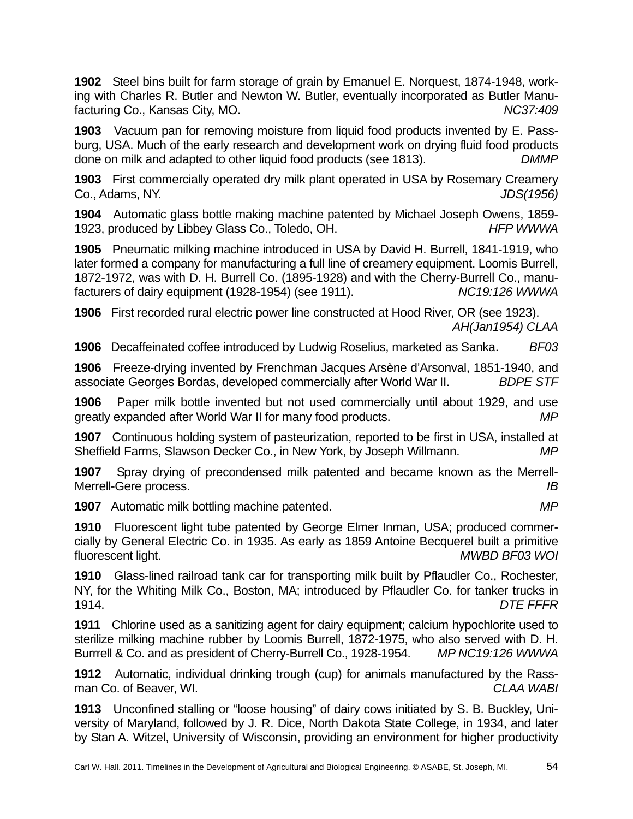**1902** Steel bins built for farm storage of grain by Emanuel E. Norquest, 1874-1948, working with Charles R. Butler and Newton W. Butler, eventually incorporated as Butler Manufacturing Co., Kansas City, MO. **Network** *NC37:409* 

**1903** Vacuum pan for removing moisture from liquid food products invented by E. Passburg, USA. Much of the early research and development work on drying fluid food products done on milk and adapted to other liquid food products (see 1813). *DMMP* 

**1903** First commercially operated dry milk plant operated in USA by Rosemary Creamery Co., Adams, NY. *JDS(1956)*

**1904** Automatic glass bottle making machine patented by Michael Joseph Owens, 1859- 1923, produced by Libbey Glass Co., Toledo, OH. *HFP WWWA*

**1905** Pneumatic milking machine introduced in USA by David H. Burrell, 1841-1919, who later formed a company for manufacturing a full line of creamery equipment. Loomis Burrell, 1872-1972, was with D. H. Burrell Co. (1895-1928) and with the Cherry-Burrell Co., manufacturers of dairy equipment (1928-1954) (see 1911). *NC19:126 WWWA* 

**1906** First recorded rural electric power line constructed at Hood River, OR (see 1923). *AH(Jan1954) CLAA*

**1906** Decaffeinated coffee introduced by Ludwig Roselius, marketed as Sanka. *BF03*

**1906** Freeze-drying invented by Frenchman Jacques Arsène d'Arsonval, 1851-1940, and associate Georges Bordas, developed commercially after World War II. *BDPE STF*

**1906** Paper milk bottle invented but not used commercially until about 1929, and use greatly expanded after World War II for many food products. *MP*

**1907** Continuous holding system of pasteurization, reported to be first in USA, installed at Sheffield Farms, Slawson Decker Co., in New York, by Joseph Willmann. *MP*

**1907** Spray drying of precondensed milk patented and became known as the Merrell-Merrell-Gere process. *IB*

**1907** Automatic milk bottling machine patented. *MP* 

**1910** Fluorescent light tube patented by George Elmer Inman, USA; produced commercially by General Electric Co. in 1935. As early as 1859 Antoine Becquerel built a primitive fluorescent light. *MWBD BF03 WOI*

**1910** Glass-lined railroad tank car for transporting milk built by Pflaudler Co., Rochester, NY, for the Whiting Milk Co., Boston, MA; introduced by Pflaudler Co. for tanker trucks in 1914. *DTE FFFR*

**1911** Chlorine used as a sanitizing agent for dairy equipment; calcium hypochlorite used to sterilize milking machine rubber by Loomis Burrell, 1872-1975, who also served with D. H. Burrrell & Co. and as president of Cherry-Burrell Co., 1928-1954. *MP NC19:126 WWWA*

**1912** Automatic, individual drinking trough (cup) for animals manufactured by the Rassman Co. of Beaver, WI. *CLAA WABI*

**1913** Unconfined stalling or "loose housing" of dairy cows initiated by S. B. Buckley, University of Maryland, followed by J. R. Dice, North Dakota State College, in 1934, and later by Stan A. Witzel, University of Wisconsin, providing an environment for higher productivity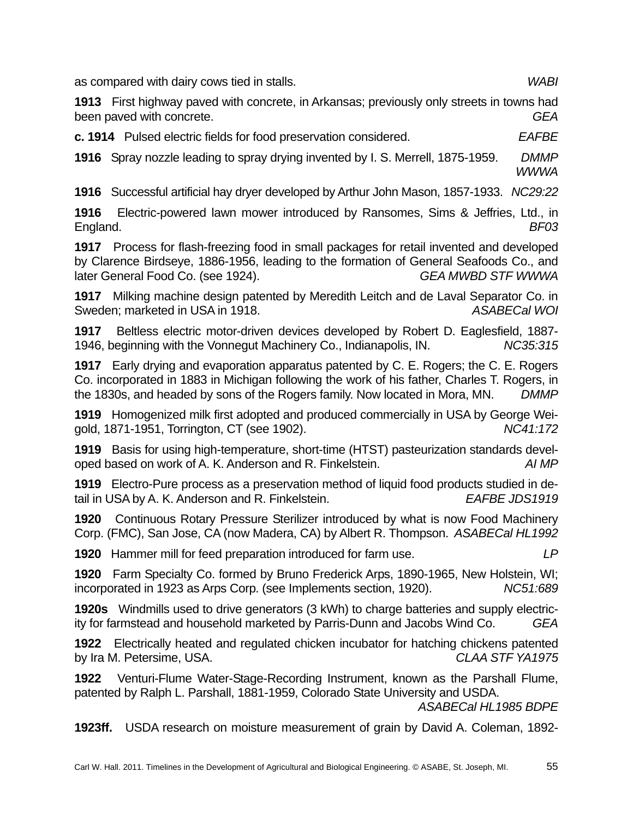as compared with dairy cows tied in stalls. *WABI*

**1913** First highway paved with concrete, in Arkansas; previously only streets in towns had been paved with concrete. *GEA*

**c. 1914** Pulsed electric fields for food preservation considered. *EAFBE* 

**1916** Spray nozzle leading to spray drying invented by I. S. Merrell, 1875-1959. *DMMP WWWA*

**1916** Successful artificial hay dryer developed by Arthur John Mason, 1857-1933. *NC29:22*

**1916** Electric-powered lawn mower introduced by Ransomes, Sims & Jeffries, Ltd., in England. *BF03* 

**1917** Process for flash-freezing food in small packages for retail invented and developed by Clarence Birdseye, 1886-1956, leading to the formation of General Seafoods Co., and later General Food Co. (see 1924). *GEA MWBD STF WWWA*

**1917** Milking machine design patented by Meredith Leitch and de Laval Separator Co. in Sweden; marketed in USA in 1918. **ASABECAL WOI ASABECAL WOI** 

**1917** Beltless electric motor-driven devices developed by Robert D. Eaglesfield, 1887- 1946, beginning with the Vonnegut Machinery Co., Indianapolis, IN. *NC35:315*

**1917** Early drying and evaporation apparatus patented by C. E. Rogers; the C. E. Rogers Co. incorporated in 1883 in Michigan following the work of his father, Charles T. Rogers, in the 1830s, and headed by sons of the Rogers family. Now located in Mora, MN. *DMMP*

**1919** Homogenized milk first adopted and produced commercially in USA by George Weigold, 1871-1951, Torrington, CT (see 1902). *NC41:172*

**1919** Basis for using high-temperature, short-time (HTST) pasteurization standards developed based on work of A. K. Anderson and R. Finkelstein. *AI MP*

**1919** Electro-Pure process as a preservation method of liquid food products studied in detail in USA by A. K. Anderson and R. Finkelstein. *EAFBE JDS1919*

**1920** Continuous Rotary Pressure Sterilizer introduced by what is now Food Machinery Corp. (FMC), San Jose, CA (now Madera, CA) by Albert R. Thompson. *ASABECal HL1992*

**1920** Hammer mill for feed preparation introduced for farm use. *LP*

**1920** Farm Specialty Co. formed by Bruno Frederick Arps, 1890-1965, New Holstein, WI; incorporated in 1923 as Arps Corp. (see Implements section, 1920). *NC51:689*

**1920s** Windmills used to drive generators (3 kWh) to charge batteries and supply electricity for farmstead and household marketed by Parris-Dunn and Jacobs Wind Co. *GEA* 

**1922** Electrically heated and regulated chicken incubator for hatching chickens patented by Ira M. Petersime, USA. *CLAA STF YA1975* 

**1922** Venturi-Flume Water-Stage-Recording Instrument, known as the Parshall Flume, patented by Ralph L. Parshall, 1881-1959, Colorado State University and USDA.

*ASABECal HL1985 BDPE*

**1923ff.** USDA research on moisture measurement of grain by David A. Coleman, 1892-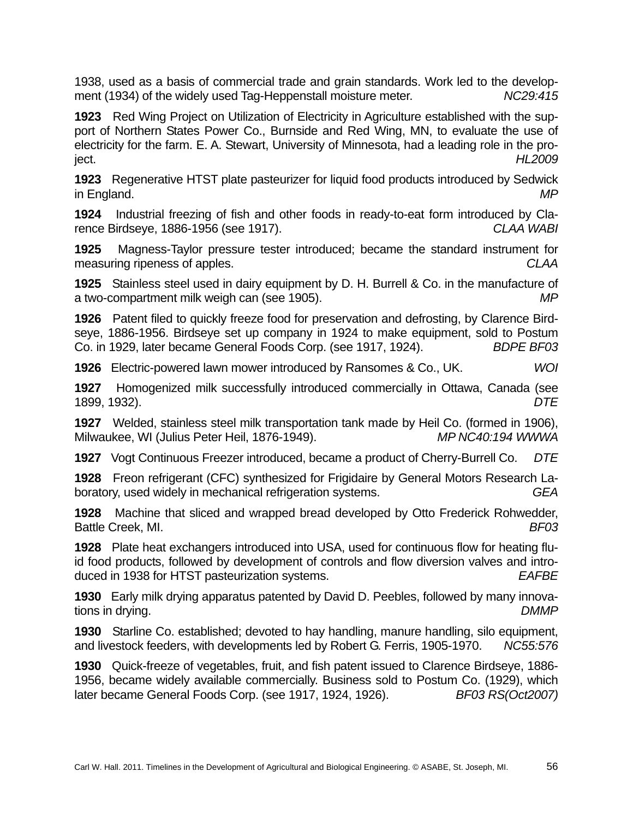1938, used as a basis of commercial trade and grain standards. Work led to the development (1934) of the widely used Tag-Heppenstall moisture meter. *NC29:415* 

**1923** Red Wing Project on Utilization of Electricity in Agriculture established with the support of Northern States Power Co., Burnside and Red Wing, MN, to evaluate the use of electricity for the farm. E. A. Stewart, University of Minnesota, had a leading role in the project. *HL2009* 

**1923** Regenerative HTST plate pasteurizer for liquid food products introduced by Sedwick in England. *MP*

**1924** Industrial freezing of fish and other foods in ready-to-eat form introduced by Clarence Birdseye, 1886-1956 (see 1917). *CLAA WABI*

**1925** Magness-Taylor pressure tester introduced; became the standard instrument for measuring ripeness of apples. *CLAA*

**1925** Stainless steel used in dairy equipment by D. H. Burrell & Co. in the manufacture of a two-compartment milk weigh can (see 1905). *MP*

**1926** Patent filed to quickly freeze food for preservation and defrosting, by Clarence Birdseye, 1886-1956. Birdseye set up company in 1924 to make equipment, sold to Postum Co. in 1929, later became General Foods Corp. (see 1917, 1924). *BDPE BF03*

**1926** Electric-powered lawn mower introduced by Ransomes & Co., UK. *WOI*

**1927** Homogenized milk successfully introduced commercially in Ottawa, Canada (see 1899, 1932). *DTE*

**1927** Welded, stainless steel milk transportation tank made by Heil Co. (formed in 1906), Milwaukee, WI (Julius Peter Heil, 1876-1949). *MP NC40:194 WWWA*

**1927** Vogt Continuous Freezer introduced, became a product of Cherry-Burrell Co. *DTE*

**1928** Freon refrigerant (CFC) synthesized for Frigidaire by General Motors Research Laboratory, used widely in mechanical refrigeration systems. *GEA* 

**1928** Machine that sliced and wrapped bread developed by Otto Frederick Rohwedder, Battle Creek, MI. *BF03*

**1928** Plate heat exchangers introduced into USA, used for continuous flow for heating fluid food products, followed by development of controls and flow diversion valves and introduced in 1938 for HTST pasteurization systems. *EAFBE*

**1930** Early milk drying apparatus patented by David D. Peebles, followed by many innovations in drying. *DMMP*

**1930** Starline Co. established; devoted to hay handling, manure handling, silo equipment, and livestock feeders, with developments led by Robert G. Ferris, 1905-1970. *NC55:576*

**1930** Quick-freeze of vegetables, fruit, and fish patent issued to Clarence Birdseye, 1886- 1956, became widely available commercially. Business sold to Postum Co. (1929), which later became General Foods Corp. (see 1917, 1924, 1926). *BF03 RS(Oct2007)*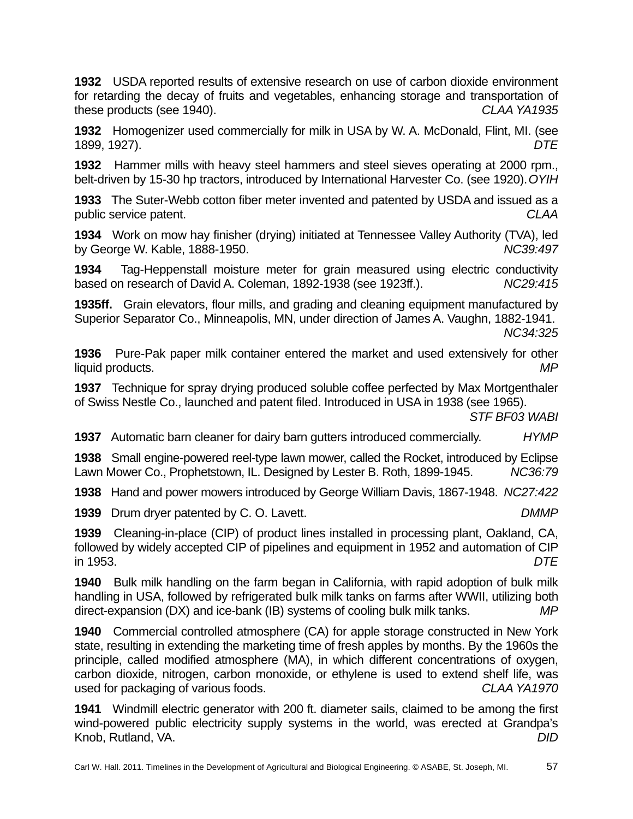**1932** USDA reported results of extensive research on use of carbon dioxide environment for retarding the decay of fruits and vegetables, enhancing storage and transportation of these products (see 1940). *CLAA YA1935*

**1932** Homogenizer used commercially for milk in USA by W. A. McDonald, Flint, MI. (see 1899, 1927). *DTE*

**1932** Hammer mills with heavy steel hammers and steel sieves operating at 2000 rpm., belt-driven by 15-30 hp tractors, introduced by International Harvester Co. (see 1920). *OYIH*

**1933** The Suter-Webb cotton fiber meter invented and patented by USDA and issued as a public service patent. *CLAA*

**1934** Work on mow hay finisher (drying) initiated at Tennessee Valley Authority (TVA), led by George W. Kable, 1888-1950. *NC39:497*

**1934** Tag-Heppenstall moisture meter for grain measured using electric conductivity based on research of David A. Coleman, 1892-1938 (see 1923ff.). *NC29:415* 

**1935ff.** Grain elevators, flour mills, and grading and cleaning equipment manufactured by Superior Separator Co., Minneapolis, MN, under direction of James A. Vaughn, 1882-1941.

*NC34:325*

**1936** Pure-Pak paper milk container entered the market and used extensively for other liquid products. *MP*

**1937** Technique for spray drying produced soluble coffee perfected by Max Mortgenthaler of Swiss Nestle Co., launched and patent filed. Introduced in USA in 1938 (see 1965).

*STF BF03 WABI* 

**1937** Automatic barn cleaner for dairy barn gutters introduced commercially. *HYMP*

**1938** Small engine-powered reel-type lawn mower, called the Rocket, introduced by Eclipse Lawn Mower Co., Prophetstown, IL. Designed by Lester B. Roth, 1899-1945. *NC36:79* 

**1938** Hand and power mowers introduced by George William Davis, 1867-1948. *NC27:422* 

**1939** Drum dryer patented by C. O. Lavett. *DMMP* 

**1939** Cleaning-in-place (CIP) of product lines installed in processing plant, Oakland, CA, followed by widely accepted CIP of pipelines and equipment in 1952 and automation of CIP in 1953. *DTE* 

**1940** Bulk milk handling on the farm began in California, with rapid adoption of bulk milk handling in USA, followed by refrigerated bulk milk tanks on farms after WWII, utilizing both direct-expansion (DX) and ice-bank (IB) systems of cooling bulk milk tanks. *MP*

**1940** Commercial controlled atmosphere (CA) for apple storage constructed in New York state, resulting in extending the marketing time of fresh apples by months. By the 1960s the principle, called modified atmosphere (MA), in which different concentrations of oxygen, carbon dioxide, nitrogen, carbon monoxide, or ethylene is used to extend shelf life, was used for packaging of various foods. *CLAA YA1970* 

**1941** Windmill electric generator with 200 ft. diameter sails, claimed to be among the first wind-powered public electricity supply systems in the world, was erected at Grandpa's Knob, Rutland, VA. *DID*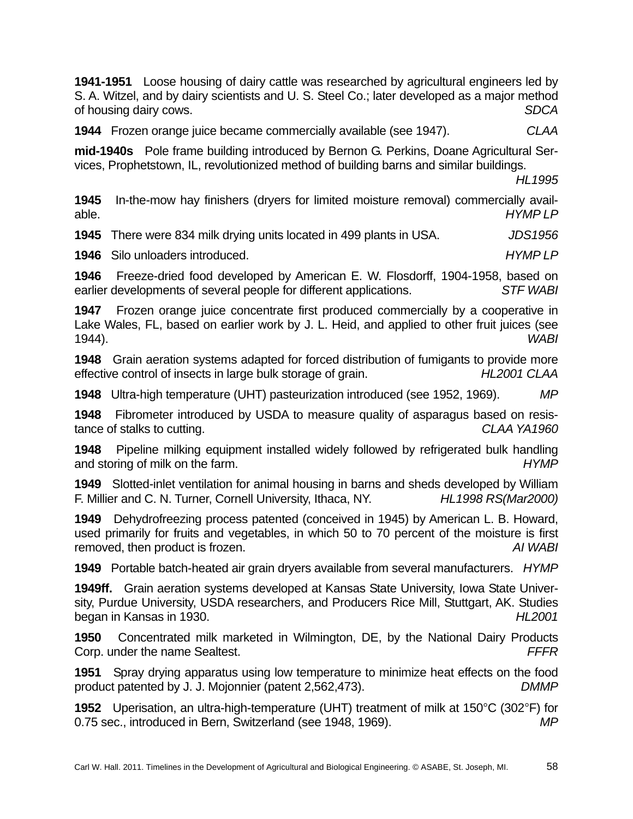**1941-1951** Loose housing of dairy cattle was researched by agricultural engineers led by S. A. Witzel, and by dairy scientists and U. S. Steel Co.; later developed as a major method of housing dairy cows. *SDCA* 

**1944** Frozen orange juice became commercially available (see 1947). *CLAA*

**mid-1940s** Pole frame building introduced by Bernon G. Perkins, Doane Agricultural Services, Prophetstown, IL, revolutionized method of building barns and similar buildings.

*HL1995* 

**1945** In-the-mow hay finishers (dryers for limited moisture removal) commercially available. *HYMP LP* 

**1945** There were 834 milk drying units located in 499 plants in USA. *JDS1956* 

**1946** Silo unloaders introduced. *HYMP LP* 

**1946** Freeze-dried food developed by American E. W. Flosdorff, 1904-1958, based on earlier developments of several people for different applications. *STF WABI*

**1947** Frozen orange juice concentrate first produced commercially by a cooperative in Lake Wales, FL, based on earlier work by J. L. Heid, and applied to other fruit juices (see 1944). *WABI*

**1948** Grain aeration systems adapted for forced distribution of fumigants to provide more effective control of insects in large bulk storage of grain. *HL2001 CLAA*

**1948** Ultra-high temperature (UHT) pasteurization introduced (see 1952, 1969). *MP*

**1948** Fibrometer introduced by USDA to measure quality of asparagus based on resistance of stalks to cutting. *CLAA YA1960* 

**1948** Pipeline milking equipment installed widely followed by refrigerated bulk handling and storing of milk on the farm. *HYMP* 

**1949** Slotted-inlet ventilation for animal housing in barns and sheds developed by William F. Millier and C. N. Turner, Cornell University, Ithaca, NY. *HL1998 RS(Mar2000)* 

**1949** Dehydrofreezing process patented (conceived in 1945) by American L. B. Howard, used primarily for fruits and vegetables, in which 50 to 70 percent of the moisture is first removed, then product is frozen. *AI WABI*

**1949** Portable batch-heated air grain dryers available from several manufacturers. *HYMP* 

**1949ff.** Grain aeration systems developed at Kansas State University, Iowa State University, Purdue University, USDA researchers, and Producers Rice Mill, Stuttgart, AK. Studies began in Kansas in 1930. *HL2001*

**1950** Concentrated milk marketed in Wilmington, DE, by the National Dairy Products Corp. under the name Sealtest. *FFFR*

**1951** Spray drying apparatus using low temperature to minimize heat effects on the food product patented by J. J. Mojonnier (patent 2,562,473). *DMMP*

**1952** Uperisation, an ultra-high-temperature (UHT) treatment of milk at 150°C (302°F) for 0.75 sec., introduced in Bern, Switzerland (see 1948, 1969). *MP*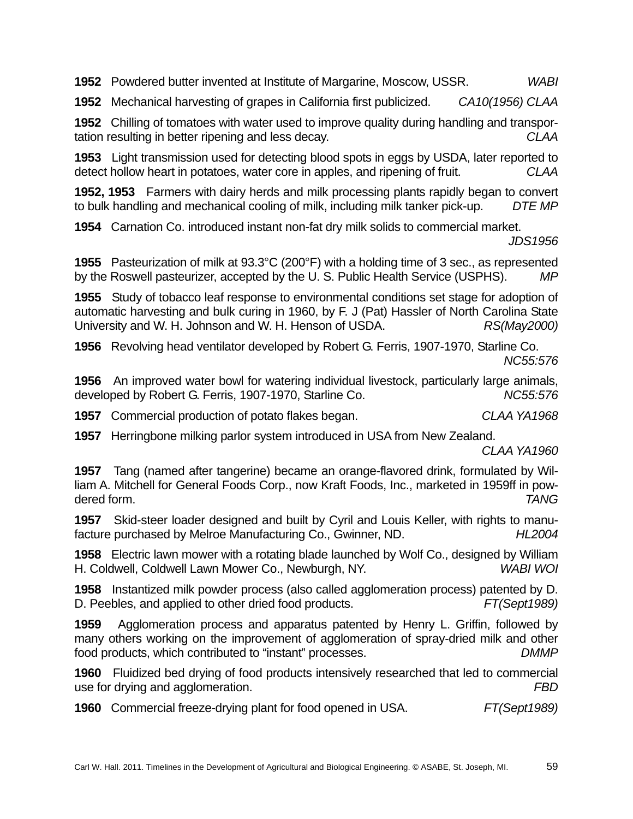**1952** Powdered butter invented at Institute of Margarine, Moscow, USSR. *WABI* 

**1952** Mechanical harvesting of grapes in California first publicized. *CA10(1956) CLAA*

**1952** Chilling of tomatoes with water used to improve quality during handling and transportation resulting in better ripening and less decay. *CLAA* 

**1953** Light transmission used for detecting blood spots in eggs by USDA, later reported to detect hollow heart in potatoes, water core in apples, and ripening of fruit. *CLAA*

**1952, 1953** Farmers with dairy herds and milk processing plants rapidly began to convert to bulk handling and mechanical cooling of milk, including milk tanker pick-up. *DTE MP* 

**1954** Carnation Co. introduced instant non-fat dry milk solids to commercial market.

*JDS1956*

**1955** Pasteurization of milk at 93.3°C (200°F) with a holding time of 3 sec., as represented by the Roswell pasteurizer, accepted by the U. S. Public Health Service (USPHS). *MP*

**1955** Study of tobacco leaf response to environmental conditions set stage for adoption of automatic harvesting and bulk curing in 1960, by F. J (Pat) Hassler of North Carolina State University and W. H. Johnson and W. H. Henson of USDA. *RS(May2000)* 

**1956** Revolving head ventilator developed by Robert G. Ferris, 1907-1970, Starline Co. *NC55:576* 

**1956** An improved water bowl for watering individual livestock, particularly large animals, developed by Robert G. Ferris, 1907-1970, Starline Co. *NC55:576* 

**1957** Commercial production of potato flakes began. *CLAA YA1968* 

**1957** Herringbone milking parlor system introduced in USA from New Zealand.

*CLAA YA1960* 

**1957** Tang (named after tangerine) became an orange-flavored drink, formulated by William A. Mitchell for General Foods Corp., now Kraft Foods, Inc., marketed in 1959ff in powdered form. *TANG* 

**1957** Skid-steer loader designed and built by Cyril and Louis Keller, with rights to manufacture purchased by Melroe Manufacturing Co., Gwinner, ND. *HL2004* 

**1958** Electric lawn mower with a rotating blade launched by Wolf Co., designed by William H. Coldwell, Coldwell Lawn Mower Co., Newburgh, NY. *WABI WOI*

**1958** Instantized milk powder process (also called agglomeration process) patented by D. D. Peebles, and applied to other dried food products. *FT(Sept1989)*

**1959** Agglomeration process and apparatus patented by Henry L. Griffin, followed by many others working on the improvement of agglomeration of spray-dried milk and other food products, which contributed to "instant" processes. *DMMP* 

**1960** Fluidized bed drying of food products intensively researched that led to commercial use for drying and agglomeration. *FBD*

**1960** Commercial freeze-drying plant for food opened in USA. *FT(Sept1989)*